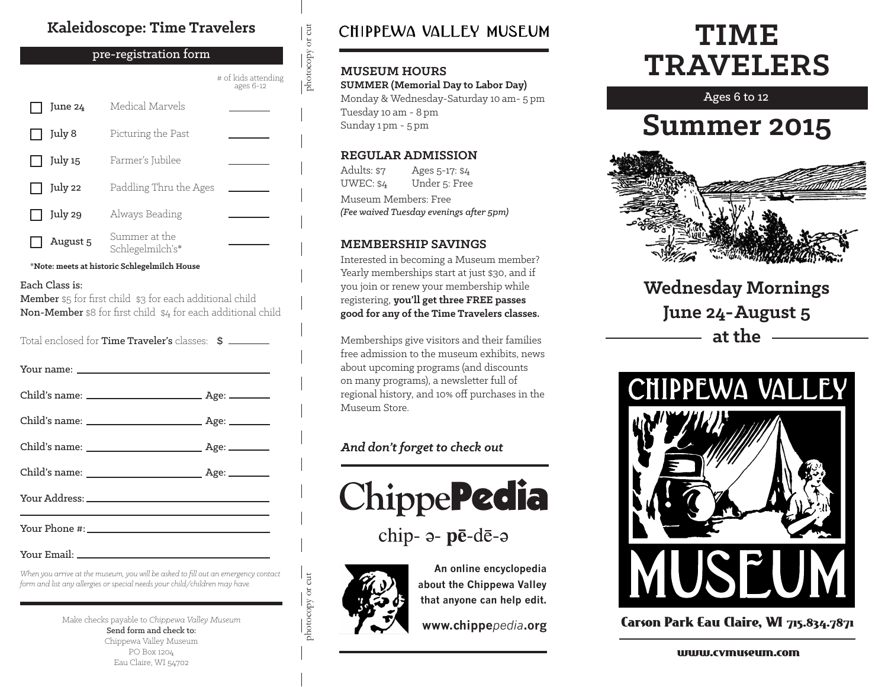#### **Kaleidoscope: Time Travelers**

#### pre-registration form

|          |                                   | # of kids attending<br>ages 6-12 |
|----------|-----------------------------------|----------------------------------|
| June 24  | Medical Marvels                   |                                  |
| July 8   | Picturing the Past                |                                  |
| July 15  | Farmer's Jubilee                  |                                  |
| July 22  | Paddling Thru the Ages            |                                  |
| July 29  | Always Beading                    |                                  |
| August 5 | Summer at the<br>Schlegelmilch's* |                                  |

**\*Note: meets at historic Schlegelmilch House**

#### Each Class is:

Member \$5 for first child \$3 for each additional child Non-Member \$8 for first child \$4 for each additional child

Total enclosed for **Time Traveler's** classes:  $\sin \frac{2\pi}{3}$ 

#### Your name:

Your Email:

*When you arrive at the museum, you will be asked to fill out an emergency contact form and list any allergies or special needs your child/children may have.*

> Make checks payable to *Chippewa Valley Museum* Send form and check to: Chippewa Valley Museum PO Box 1204 Eau Claire, WI 54702

### CHIPPEWA VALLEY MUSEUM

#### **MUSEUM HOURS**

photocopy or cut

 $\frac{1}{\text{photocopy or cut}}$ 

**SUMMER (Memorial Day to Labor Day)** Monday & Wednesday-Saturday 10 am- 5 pm Tuesday 10 am - 8 pm Sunday 1 pm - 5 pm

#### **REGULAR ADMISSION**

Adults: \$7 UWEC: \$4 Ages 5-17: \$4 Under 5: Free Museum Members: Free *(Fee waived Tuesday evenings after 5pm)*

#### **MEMBERSHIP SAVINGS**

Interested in becoming a Museum member? Yearly memberships start at just \$30, and if you join or renew your membership while registering, **you'll get three FREE passes good for any of the Time Travelers classes.**

Memberships give visitors and their families free admission to the museum exhibits, news about upcoming programs (and discounts on many programs), a newsletter full of regional history, and 10% off purchases in the Museum Store.

#### *And don't forget to check out*



chip- a- pē-dē-a



photocopy or cut

photocopy or cut

**An online encyclopedia about the Chippewa Valley that anyone can help edit.**

**www.chippe***pedia***.org**

## **TIME TRAVELERS**

Ages 6 to 12

## **Summer 2015**



**Wednesday Mornings June 24-August 5 at the**



Carson Park Eau Claire, WI 715.834.7871